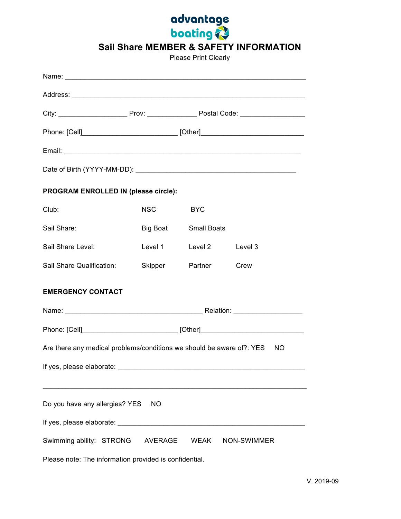

**Sail Share MEMBER & SAFETY INFORMATION**

Please Print Clearly

|                                                                                    | Phone: [Cell]________________________________ [Other]___________________________ |                         |      |
|------------------------------------------------------------------------------------|----------------------------------------------------------------------------------|-------------------------|------|
|                                                                                    |                                                                                  |                         |      |
|                                                                                    |                                                                                  |                         |      |
| PROGRAM ENROLLED IN (please circle):                                               |                                                                                  |                         |      |
| Club:                                                                              | <b>NSC</b>                                                                       | <b>BYC</b>              |      |
| Sail Share:                                                                        |                                                                                  | Big Boat Small Boats    |      |
| Sail Share Level:                                                                  |                                                                                  | Level 1 Level 2 Level 3 |      |
| Sail Share Qualification:                                                          |                                                                                  | Skipper Partner         | Crew |
| <b>EMERGENCY CONTACT</b>                                                           |                                                                                  |                         |      |
|                                                                                    |                                                                                  |                         |      |
|                                                                                    | Phone: [Cell]_______________________________ [Other]____________________________ |                         |      |
| Are there any medical problems/conditions we should be aware of?: YES<br><b>NO</b> |                                                                                  |                         |      |
|                                                                                    |                                                                                  |                         |      |
|                                                                                    |                                                                                  |                         |      |
| Do you have any allergies? YES<br>NO                                               |                                                                                  |                         |      |
|                                                                                    |                                                                                  |                         |      |
| Swimming ability: STRONG AVERAGE<br>WEAK<br>NON-SWIMMER                            |                                                                                  |                         |      |
| Please note: The information provided is confidential.                             |                                                                                  |                         |      |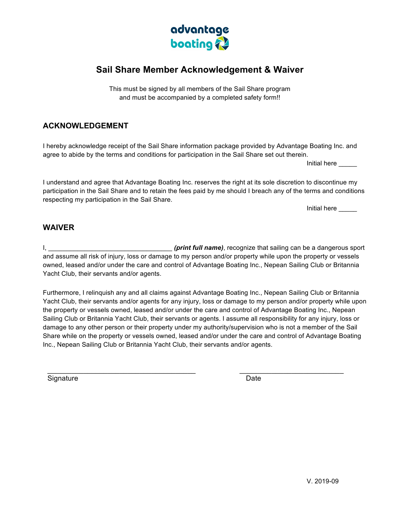

## **Sail Share Member Acknowledgement & Waiver**

This must be signed by all members of the Sail Share program and must be accompanied by a completed safety form!!

## **ACKNOWLEDGEMENT**

I hereby acknowledge receipt of the Sail Share information package provided by Advantage Boating Inc. and agree to abide by the terms and conditions for participation in the Sail Share set out therein.

Initial here

I understand and agree that Advantage Boating Inc. reserves the right at its sole discretion to discontinue my participation in the Sail Share and to retain the fees paid by me should I breach any of the terms and conditions respecting my participation in the Sail Share.

Initial here \_\_\_\_\_

## **WAIVER**

I, **Example 2 and September 1.1 (print full name)**, recognize that sailing can be a dangerous sport and assume all risk of injury, loss or damage to my person and/or property while upon the property or vessels owned, leased and/or under the care and control of Advantage Boating Inc., Nepean Sailing Club or Britannia Yacht Club, their servants and/or agents.

Furthermore, I relinquish any and all claims against Advantage Boating Inc., Nepean Sailing Club or Britannia Yacht Club, their servants and/or agents for any injury, loss or damage to my person and/or property while upon the property or vessels owned, leased and/or under the care and control of Advantage Boating Inc., Nepean Sailing Club or Britannia Yacht Club, their servants or agents. I assume all responsibility for any injury, loss or damage to any other person or their property under my authority/supervision who is not a member of the Sail Share while on the property or vessels owned, leased and/or under the care and control of Advantage Boating Inc., Nepean Sailing Club or Britannia Yacht Club, their servants and/or agents.

 $\mathcal{L}_\text{max}$  , and the contribution of the contribution of the contribution of the contribution of the contribution of the contribution of the contribution of the contribution of the contribution of the contribution of t

Signature Date **Date**